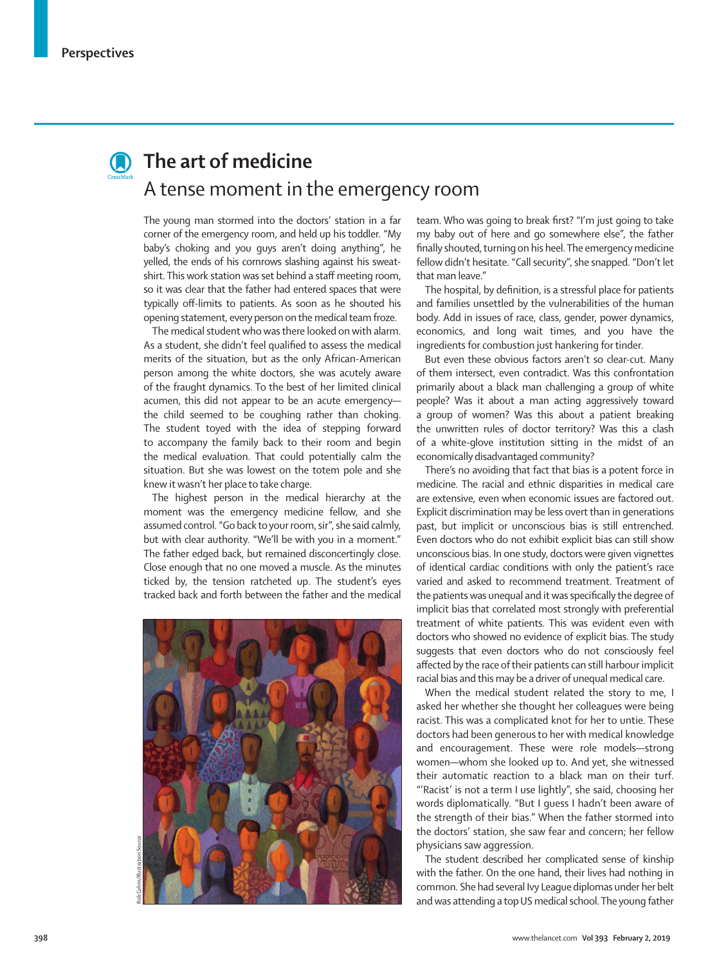

## **Contact The art of medicine** A tense moment in the emergency room

The young man stormed into the doctors' station in a far corner of the emergency room, and held up his toddler. "My baby's choking and you guys aren't doing anything", he yelled, the ends of his cornrows slashing against his sweatshirt. This work station was set behind a staff meeting room, so it was clear that the father had entered spaces that were typically off-limits to patients. As soon as he shouted his opening statement, every person on the medical team froze.

The medical student who was there looked on with alarm. As a student, she didn't feel qualified to assess the medical merits of the situation, but as the only African-American person among the white doctors, she was acutely aware of the fraught dynamics. To the best of her limited clinical acumen, this did not appear to be an acute emergency the child seemed to be coughing rather than choking. The student toyed with the idea of stepping forward to accompany the family back to their room and begin the medical evaluation. That could potentially calm the situation. But she was lowest on the totem pole and she knew it wasn't her place to take charge.

The highest person in the medical hierarchy at the moment was the emergency medicine fellow, and she assumed control. "Go back to your room, sir", she said calmly, but with clear authority. "We'll be with you in a moment." The father edged back, but remained disconcertingly close. Close enough that no one moved a muscle. As the minutes ticked by, the tension ratcheted up. The student's eyes tracked back and forth between the father and the medical



Rob Colvin/Illustration Source

team. Who was going to break first? "I'm just going to take my baby out of here and go somewhere else", the father finally shouted, turning on his heel. The emergency medicine fellow didn't hesitate. "Call security", she snapped. "Don't let that man leave."

The hospital, by definition, is a stressful place for patients and families unsettled by the vulnerabilities of the human body. Add in issues of race, class, gender, power dynamics, economics, and long wait times, and you have the ingredients for combustion just hankering for tinder.

But even these obvious factors aren't so clear-cut. Many of them intersect, even contradict. Was this confrontation primarily about a black man challenging a group of white people? Was it about a man acting aggressively toward a group of women? Was this about a patient breaking the unwritten rules of doctor territory? Was this a clash of a white-glove institution sitting in the midst of an economically disadvantaged community?

There's no avoiding that fact that bias is a potent force in medicine. The racial and ethnic disparities in medical care are extensive, even when economic issues are factored out. Explicit discrimination may be less overt than in generations past, but implicit or unconscious bias is still entrenched. Even doctors who do not exhibit explicit bias can still show unconscious bias. In one study, doctors were given vignettes of identical cardiac conditions with only the patient's race varied and asked to recommend treatment. Treatment of the patients was unequal and it was specifically the degree of implicit bias that correlated most strongly with preferential treatment of white patients. This was evident even with doctors who showed no evidence of explicit bias. The study suggests that even doctors who do not consciously feel affected by the race of their patients can still harbour implicit racial bias and this may be a driver of unequal medical care.

When the medical student related the story to me, I asked her whether she thought her colleagues were being racist. This was a complicated knot for her to untie. These doctors had been generous to her with medical knowledge and encouragement. These were role models—strong women—whom she looked up to. And yet, she witnessed their automatic reaction to a black man on their turf. "'Racist' is not a term I use lightly", she said, choosing her words diplomatically. "But I guess I hadn't been aware of the strength of their bias." When the father stormed into the doctors' station, she saw fear and concern; her fellow physicians saw aggression.

The student described her complicated sense of kinship with the father. On the one hand, their lives had nothing in common. She had several Ivy League diplomas under her belt and was attending a top US medical school. The young father